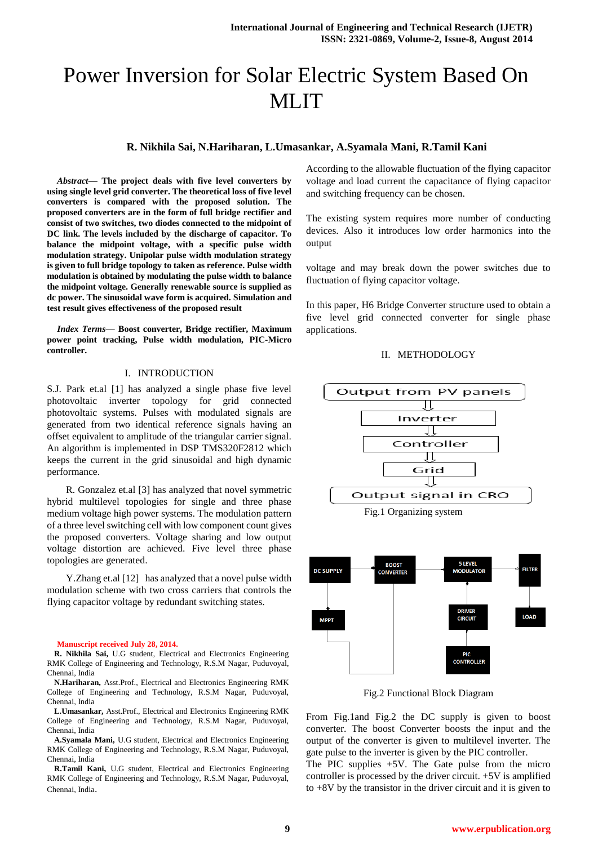# Power Inversion for Solar Electric System Based On MLIT

# **R. Nikhila Sai, N.Hariharan, L.Umasankar, A.Syamala Mani, R.Tamil Kani**

*Abstract***— The project deals with five level converters by using single level grid converter. The theoretical loss of five level converters is compared with the proposed solution. The proposed converters are in the form of full bridge rectifier and consist of two switches, two diodes connected to the midpoint of DC link. The levels included by the discharge of capacitor. To balance the midpoint voltage, with a specific pulse width modulation strategy. Unipolar pulse width modulation strategy is given to full bridge topology to taken as reference. Pulse width modulation is obtained by modulating the pulse width to balance the midpoint voltage. Generally renewable source is supplied as dc power. The sinusoidal wave form is acquired. Simulation and test result gives effectiveness of the proposed result**

*Index Terms***— Boost converter, Bridge rectifier, Maximum power point tracking, Pulse width modulation, PIC-Micro controller.**

#### I. INTRODUCTION

S.J. Park et.al [1] has analyzed a single phase five level photovoltaic inverter topology for grid connected photovoltaic systems. Pulses with modulated signals are generated from two identical reference signals having an offset equivalent to amplitude of the triangular carrier signal. An algorithm is implemented in DSP TMS320F2812 which keeps the current in the grid sinusoidal and high dynamic performance.

R. Gonzalez et.al [3] has analyzed that novel symmetric hybrid multilevel topologies for single and three phase medium voltage high power systems. The modulation pattern of a three level switching cell with low component count gives the proposed converters. Voltage sharing and low output voltage distortion are achieved. Five level three phase topologies are generated.

Y.Zhang et.al [12] has analyzed that a novel pulse width modulation scheme with two cross carriers that controls the flying capacitor voltage by redundant switching states.

#### **Manuscript received July 28, 2014.**

**R. Nikhila Sai,** U.G student, Electrical and Electronics Engineering RMK College of Engineering and Technology, R.S.M Nagar, Puduvoyal, Chennai, India

**N.Hariharan,** Asst.Prof., Electrical and Electronics Engineering RMK College of Engineering and Technology, R.S.M Nagar, Puduvoyal, Chennai, India

**L.Umasankar,** Asst.Prof., Electrical and Electronics Engineering RMK College of Engineering and Technology, R.S.M Nagar, Puduvoyal, Chennai, India

**A.Syamala Mani,** U.G student, Electrical and Electronics Engineering RMK College of Engineering and Technology, R.S.M Nagar, Puduvoyal, Chennai, India

**R.Tamil Kani,** U.G student, Electrical and Electronics Engineering RMK College of Engineering and Technology, R.S.M Nagar, Puduvoyal, Chennai, India.

According to the allowable fluctuation of the flying capacitor voltage and load current the capacitance of flying capacitor and switching frequency can be chosen.

The existing system requires more number of conducting devices. Also it introduces low order harmonics into the output

voltage and may break down the power switches due to fluctuation of flying capacitor voltage.

In this paper, H6 Bridge Converter structure used to obtain a five level grid connected converter for single phase applications.

#### II. METHODOLOGY



Fig.2 Functional Block Diagram

From Fig.1and Fig.2 the DC supply is given to boost converter. The boost Converter boosts the input and the output of the converter is given to multilevel inverter. The gate pulse to the inverter is given by the PIC controller.

The PIC supplies  $+5V$ . The Gate pulse from the micro controller is processed by the driver circuit. +5V is amplified to  $+8V$  by the transistor in the driver circuit and it is given to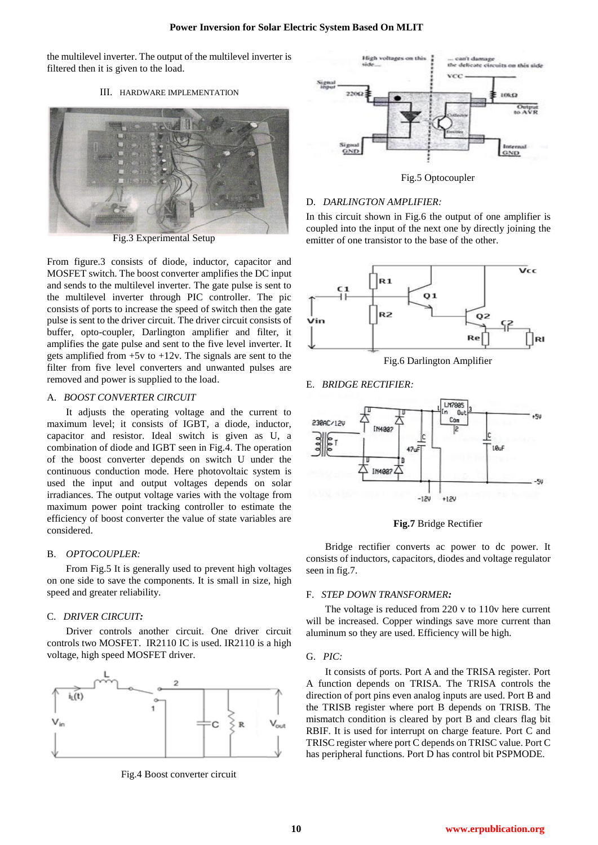the multilevel inverter. The output of the multilevel inverter is filtered then it is given to the load.

## III. HARDWARE IMPLEMENTATION



Fig.3 Experimental Setup

From figure.3 consists of diode, inductor, capacitor and MOSFET switch. The boost converter amplifies the DC input and sends to the multilevel inverter. The gate pulse is sent to the multilevel inverter through PIC controller. The pic consists of ports to increase the speed of switch then the gate pulse is sent to the driver circuit. The driver circuit consists of buffer, opto-coupler, Darlington amplifier and filter, it amplifies the gate pulse and sent to the five level inverter. It gets amplified from  $+5v$  to  $+12v$ . The signals are sent to the filter from five level converters and unwanted pulses are removed and power is supplied to the load.

#### A. *BOOST CONVERTER CIRCUIT*

It adjusts the operating voltage and the current to maximum level; it consists of IGBT, a diode, inductor, capacitor and resistor. Ideal switch is given as U, a combination of diode and IGBT seen in Fig.4. The operation of the boost converter depends on switch U under the continuous conduction mode. Here photovoltaic system is used the input and output voltages depends on solar irradiances. The output voltage varies with the voltage from maximum power point tracking controller to estimate the efficiency of boost converter the value of state variables are considered.

## B. *OPTOCOUPLER:*

From Fig.5 It is generally used to prevent high voltages on one side to save the components. It is small in size, high speed and greater reliability.

#### C. *DRIVER CIRCUIT:*

Driver controls another circuit. One driver circuit controls two MOSFET. IR2110 IC is used. IR2110 is a high voltage, high speed MOSFET driver.



Fig.4 Boost converter circuit



Fig.5 Optocoupler

#### D. *DARLINGTON AMPLIFIER:*

In this circuit shown in Fig.6 the output of one amplifier is coupled into the input of the next one by directly joining the emitter of one transistor to the base of the other.



Fig.6 Darlington Amplifier

#### E. *BRIDGE RECTIFIER:*



**Fig.7** Bridge Rectifier

Bridge rectifier converts ac power to dc power. It consists of inductors, capacitors, diodes and voltage regulator seen in fig.7.

#### F. *STEP DOWN TRANSFORMER:*

The voltage is reduced from 220 v to 110v here current will be increased. Copper windings save more current than aluminum so they are used. Efficiency will be high.

#### G. *PIC:*

It consists of ports. Port A and the TRISA register. Port A function depends on TRISA. The TRISA controls the direction of port pins even analog inputs are used. Port B and the TRISB register where port B depends on TRISB. The mismatch condition is cleared by port B and clears flag bit RBIF. It is used for interrupt on charge feature. Port C and TRISC register where port C depends on TRISC value. Port C has peripheral functions. Port D has control bit PSPMODE.